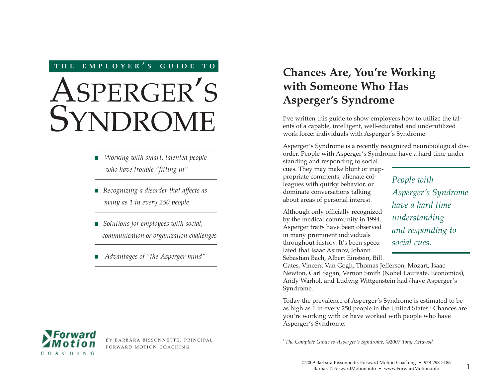## **THE EMPLOYER ' S GUIDE TO <sup>O</sup>**

# ASPERGER'S **SYNDROME**

- *Working with smart, talented people who have trouble "fitting in"*
- *Recognizing a disorder that affects as many as 1 in every 250 people*
- *Solutions for employees with social*, *communication or organization challenges*
- *Advantages of "the Asperger mind"*

# **Chances Are, You're Working with Someone Who Has Asperger's Syndrome**

I've written this guide to show employers how to utilize the talents of a capable, intelligent, well-educated and underutilized work force: individuals with Asperger's Syndrome.

Asperger's Syndrome is a recently recognized neurobiological disorder. People with Asperger's Syndrome have a hard time under-

standing and responding to social cues. They may make blunt or inappropriate comments, alienate colleagues with quirky behavior, or dominate conversations talking about areas of personal interest.

Although only officially recognized by the medical community in 1994, Asperger traits have been observed in many prominent individuals throughout history. It's been speculated that Isaac Asimov, Johann Sebastian Bach, Albert Einstein, Bill

*People with Asperger's Syndrome have a hard time understanding and responding to social cues.*

Gates, Vincent Van Gogh, Thomas Jefferson, Mozart, Isaac Newton, Carl Sagan, Vernon Smith (Nobel Laureate, Economics), Andy Warhol, and Ludwig Wittgenstein had/have Asperger's Syndrome.

Today the prevalence of Asperger's Syndrome is estimated to be as high as 1 in every 250 people in the United States.*<sup>1</sup>* Chances are you're working with or have worked with people who have Asperger's Syndrome.

*1 The Complete Guide to Asperger's Syndrome, ©2007 Tony Attwood*



BY BARBARA BISSONNETTE, PRINCIPAL FORWARD MOTION COACHING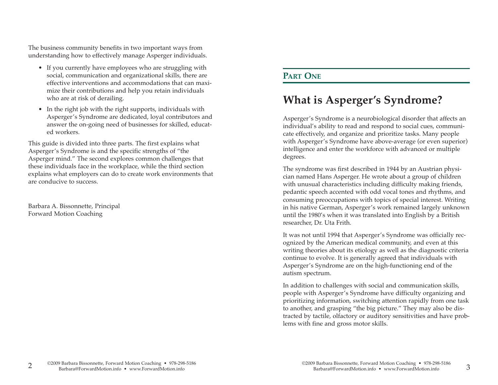The business community benefits in two important ways from understanding how to effectively manage Asperger individuals.

- If you currently have employees who are struggling with social, communication and organizational skills, there are effective interventions and accommodations that can maximize their contributions and help you retain individuals who are at risk of derailing.
- In the right job with the right supports, individuals with Asperger's Syndrome are dedicated, loyal contributors and answer the on-going need of businesses for skilled, educated workers.

This guide is divided into three parts. The first explains what Asperger's Syndrome is and the specific strengths of "the Asperger mind." The second explores common challenges that these individuals face in the workplace, while the third section explains what employers can do to create work environments that are conducive to success.

Barbara A. Bissonnette, Principal Forward Motion Coaching

## **PART ONE**

## **What is Asperger's Syndrome?**

Asperger's Syndrome is a neurobiological disorder that affects an individual's ability to read and respond to social cues, communicate effectively, and organize and prioritize tasks. Many people with Asperger's Syndrome have above-average (or even superior) intelligence and enter the workforce with advanced or multiple degrees.

The syndrome was first described in 1944 by an Austrian physician named Hans Asperger. He wrote about a group of children with unusual characteristics including difficulty making friends, pedantic speech accented with odd vocal tones and rhythms, and consuming preoccupations with topics of special interest. Writing in his native German, Asperger's work remained largely unknown until the 1980's when it was translated into English by a British researcher, Dr. Uta Frith.

It was not until 1994 that Asperger's Syndrome was officially recognized by the American medical community, and even at this writing theories about its etiology as well as the diagnostic criteria continue to evolve. It is generally agreed that individuals with Asperger's Syndrome are on the high-functioning end of the autism spectrum.

In addition to challenges with social and communication skills, people with Asperger's Syndrome have difficulty organizing and prioritizing information, switching attention rapidly from one task to another, and grasping "the big picture." They may also be distracted by tactile, olfactory or auditory sensitivities and have problems with fine and gross motor skills.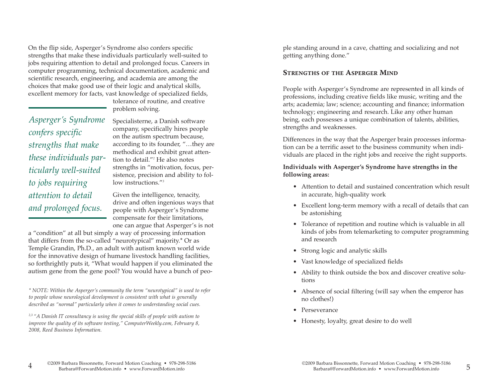On the flip side, Asperger's Syndrome also confers specific strengths that make these individuals particularly well-suited to jobs requiring attention to detail and prolonged focus. Careers in computer programming, technical documentation, academic and scientific research, engineering, and academia are among the choices that make good use of their logic and analytical skills, excellent memory for facts, vast knowledge of specialized fields,

> tolerance of routine, and creative problem solving. Specialisterne, a Danish software

*Asperger's Syndrome confers specific strengths that make these individuals particularly well-suited to jobs requiring attention to detail and prolonged focus.*

company, specifically hires people on the autism spectrum because, according to its founder, "…they are methodical and exhibit great attention to detail."*<sup>2</sup>* He also notes strengths in "motivation, focus, persistence, precision and ability to follow instructions."*<sup>3</sup>*

Given the intelligence, tenacity, drive and often ingenious ways that people with Asperger's Syndrome compensate for their limitations, one can argue that Asperger's is not

a "condition" at all but simply a way of processing information that differs from the so-called "neurotypical" majority.\* Or as Temple Grandin, Ph.D., an adult with autism known world wide for the innovative design of humane livestock handling facilities, so forthrightly puts it, "What would happen if you eliminated the autism gene from the gene pool? You would have a bunch of peo-

*\* NOTE: Within the Asperger's community the term "neurotypical" is used to refer to people whose neurological development is consistent with what is generally described as "normal" particularly when it comes to understanding social cues.* 

*2,3 "A Danish IT consultancy is using the special skills of people with autism to improve the quality of its software testing," ComputerWeekly.com, February 8, 2008, Reed Business Information.* 

ple standing around in a cave, chatting and socializing and not getting anything done."

### **STRENGTHS OF THE ASPERGER MIND**

People with Asperger's Syndrome are represented in all kinds of professions, including creative fields like music, writing and the arts; academia; law; science; accounting and finance; information technology; engineering and research. Like any other human being, each possesses a unique combination of talents, abilities, strengths and weaknesses.

Differences in the way that the Asperger brain processes information can be a terrific asset to the business community when individuals are placed in the right jobs and receive the right supports.

**Individuals with Asperger's Syndrome have strengths in the following areas:**

- Attention to detail and sustained concentration which result in accurate, high-quality work
- Excellent long-term memory with a recall of details that can be astonishing
- Tolerance of repetition and routine which is valuable in all kinds of jobs from telemarketing to computer programming and research
- Strong logic and analytic skills
- Vast knowledge of specialized fields
- Ability to think outside the box and discover creative solutions
- Absence of social filtering (will say when the emperor has no clothes!)
- Perseverance
- Honesty, loyalty, great desire to do well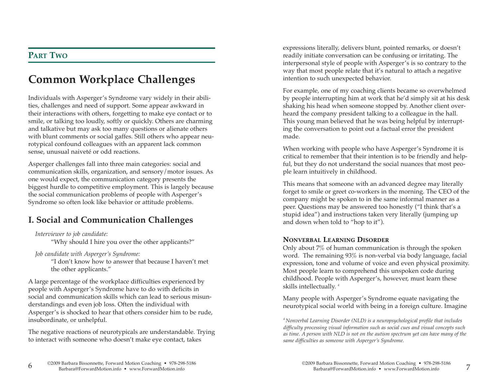## **PART TWO**

# **Common Workplace Challenges**

Individuals with Asperger's Syndrome vary widely in their abilities, challenges and need of support. Some appear awkward in their interactions with others, forgetting to make eye contact or to smile, or talking too loudly, softly or quickly. Others are charming and talkative but may ask too many questions or alienate others with blunt comments or social gaffes. Still others who appear neurotypical confound colleagues with an apparent lack common sense, unusual naiveté or odd reactions.

Asperger challenges fall into three main categories: social and communication skills, organization, and sensory/motor issues. As one would expect, the communication category presents the biggest hurdle to competitive employment. This is largely because the social communication problems of people with Asperger's Syndrome so often look like behavior or attitude problems.

## **I. Social and Communication Challenges**

*Interviewer to job candidate:*

"Why should I hire you over the other applicants?"

*Job candidate with Asperger's Syndrome:*

"I don't know how to answer that because I haven't met the other applicants."

A large percentage of the workplace difficulties experienced by people with Asperger's Syndrome have to do with deficits in social and communication skills which can lead to serious misunderstandings and even job loss. Often the individual with Asperger's is shocked to hear that others consider him to be rude, insubordinate, or unhelpful.

The negative reactions of neurotypicals are understandable. Trying to interact with someone who doesn't make eye contact, takes

expressions literally, delivers blunt, pointed remarks, or doesn't readily initiate conversation can be confusing or irritating. The interpersonal style of people with Asperger's is so contrary to the way that most people relate that it's natural to attach a negative intention to such unexpected behavior.

For example, one of my coaching clients became so overwhelmed by people interrupting him at work that he'd simply sit at his desk shaking his head when someone stopped by. Another client overheard the company president talking to a colleague in the hall. This young man believed that he was being helpful by interrupting the conversation to point out a factual error the president made.

When working with people who have Asperger's Syndrome it is critical to remember that their intention is to be friendly and helpful, but they do not understand the social nuances that most people learn intuitively in childhood.

This means that someone with an advanced degree may literally forget to smile or greet co-workers in the morning. The CEO of the company might be spoken to in the same informal manner as a peer. Questions may be answered too honestly ("I think that's a stupid idea") and instructions taken very literally (jumping up and down when told to "hop to it").

### **NONVERBAL LEARNING DISORDER**

Only about 7% of human communication is through the spoken word. The remaining 93% is non-verbal via body language, facial expression, tone and volume of voice and even physical proximity. Most people learn to comprehend this unspoken code during childhood. People with Asperger's, however, must learn these skills intellectually. *<sup>4</sup>*

Many people with Asperger's Syndrome equate navigating the neurotypical social world with being in a foreign culture. Imagine

*4 Nonverbal Learning Disorder (NLD) is a neuropsychological profile that includes difficulty processing visual information such as social cues and visual concepts such as time. A person with NLD is not on the autism spectrum yet can have many of the same difficulties as someone with Asperger's Syndrome.*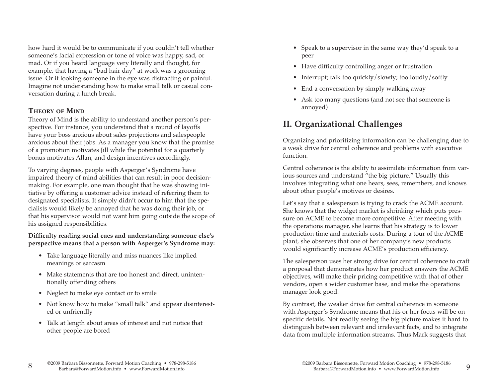how hard it would be to communicate if you couldn't tell whether someone's facial expression or tone of voice was happy, sad, or mad. Or if you heard language very literally and thought, for example, that having a "bad hair day" at work was a grooming issue. Or if looking someone in the eye was distracting or painful. Imagine not understanding how to make small talk or casual conversation during a lunch break.

#### **THEORY OF MIND**

Theory of Mind is the ability to understand another person's perspective. For instance, you understand that a round of layoffs have your boss anxious about sales projections and salespeople anxious about their jobs. As a manager you know that the promise of a promotion motivates Jill while the potential for a quarterly bonus motivates Allan, and design incentives accordingly.

To varying degrees, people with Asperger's Syndrome have impaired theory of mind abilities that can result in poor decisionmaking. For example, one man thought that he was showing initiative by offering a customer advice instead of referring them to designated specialists. It simply didn't occur to him that the specialists would likely be annoyed that he was doing their job, or that his supervisor would not want him going outside the scope of his assigned responsibilities.

#### **Difficulty reading social cues and understanding someone else's perspective means that a person with Asperger's Syndrome may:**

- Take language literally and miss nuances like implied meanings or sarcasm
- Make statements that are too honest and direct, unintentionally offending others
- Neglect to make eye contact or to smile
- Not know how to make "small talk" and appear disinterested or unfriendly
- Talk at length about areas of interest and not notice that other people are bored
- Speak to a supervisor in the same way they'd speak to a peer
- Have difficulty controlling anger or frustration
- Interrupt; talk too quickly/slowly; too loudly/softly
- End a conversation by simply walking away
- Ask too many questions (and not see that someone is annoyed)

## **II. Organizational Challenges**

Organizing and prioritizing information can be challenging due to a weak drive for central coherence and problems with executive function.

Central coherence is the ability to assimilate information from various sources and understand "the big picture." Usually this involves integrating what one hears, sees, remembers, and knows about other people's motives or desires.

Let's say that a salesperson is trying to crack the ACME account. She knows that the widget market is shrinking which puts pressure on ACME to become more competitive. After meeting with the operations manager, she learns that his strategy is to lower production time and materials costs. During a tour of the ACME plant, she observes that one of her company's new products would significantly increase ACME's production efficiency.

The salesperson uses her strong drive for central coherence to craft a proposal that demonstrates how her product answers the ACME objectives, will make their pricing competitive with that of other vendors, open a wider customer base, and make the operations manager look good.

By contrast, the weaker drive for central coherence in someone with Asperger's Syndrome means that his or her focus will be on specific details. Not readily seeing the big picture makes it hard to distinguish between relevant and irrelevant facts, and to integrate data from multiple information streams. Thus Mark suggests that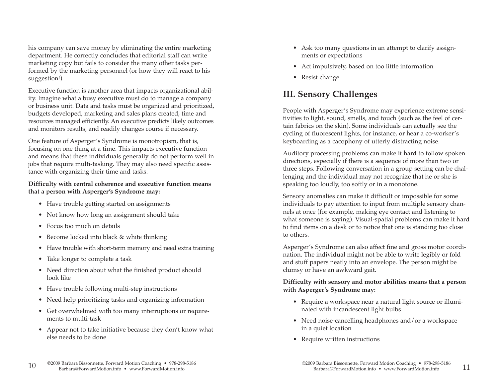his company can save money by eliminating the entire marketing department. He correctly concludes that editorial staff can write marketing copy but fails to consider the many other tasks performed by the marketing personnel (or how they will react to his suggestion!).

Executive function is another area that impacts organizational ability. Imagine what a busy executive must do to manage a company or business unit. Data and tasks must be organized and prioritized, budgets developed, marketing and sales plans created, time and resources managed efficiently. An executive predicts likely outcomes and monitors results, and readily changes course if necessary.

One feature of Asperger's Syndrome is monotropism, that is, focusing on one thing at a time. This impacts executive function and means that these individuals generally do not perform well in jobs that require multi-tasking. They may also need specific assistance with organizing their time and tasks.

#### **Difficulty with central coherence and executive function means that a person with Asperger's Syndrome may:**

- Have trouble getting started on assignments
- Not know how long an assignment should take
- Focus too much on details
- Become locked into black & white thinking
- Have trouble with short-term memory and need extra training
- Take longer to complete a task
- Need direction about what the finished product should look like
- Have trouble following multi-step instructions
- Need help prioritizing tasks and organizing information
- Get overwhelmed with too many interruptions or requirements to multi-task
- Appear not to take initiative because they don't know what else needs to be done
- Ask too many questions in an attempt to clarify assignments or expectations
- Act impulsively, based on too little information
- Resist change

## **III. Sensory Challenges**

People with Asperger's Syndrome may experience extreme sensitivities to light, sound, smells, and touch (such as the feel of certain fabrics on the skin). Some individuals can actually see the cycling of fluorescent lights, for instance, or hear a co-worker's keyboarding as a cacophony of utterly distracting noise.

Auditory processing problems can make it hard to follow spoken directions, especially if there is a sequence of more than two or three steps. Following conversation in a group setting can be challenging and the individual may not recognize that he or she is speaking too loudly, too softly or in a monotone.

Sensory anomalies can make it difficult or impossible for some individuals to pay attention to input from multiple sensory channels at once (for example, making eye contact and listening to what someone is saying). Visual-spatial problems can make it hard to find items on a desk or to notice that one is standing too close to others.

Asperger's Syndrome can also affect fine and gross motor coordination. The individual might not be able to write legibly or fold and stuff papers neatly into an envelope. The person might be clumsy or have an awkward gait.

#### **Difficulty with sensory and motor abilities means that a person with Asperger's Syndrome may:**

- Require a workspace near a natural light source or illuminated with incandescent light bulbs
- Need noise-cancelling headphones and/or a workspace in a quiet location
- Require written instructions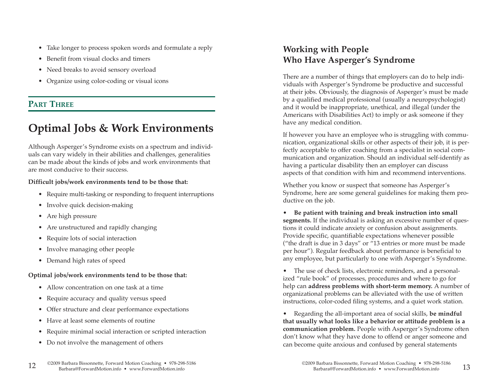- Take longer to process spoken words and formulate a reply
- Benefit from visual clocks and timers
- Need breaks to avoid sensory overload
- Organize using color-coding or visual icons

## **PART THREE**

# **Optimal Jobs & Work Environments**

Although Asperger's Syndrome exists on a spectrum and individuals can vary widely in their abilities and challenges, generalities can be made about the kinds of jobs and work environments that are most conducive to their success.

#### **Difficult jobs/work environments tend to be those that:**

- Require multi-tasking or responding to frequent interruptions
- Involve quick decision-making
- Are high pressure
- Are unstructured and rapidly changing
- Require lots of social interaction
- Involve managing other people
- Demand high rates of speed

### **Optimal jobs/work environments tend to be those that:**

- Allow concentration on one task at a time
- Require accuracy and quality versus speed
- Offer structure and clear performance expectations
- Have at least some elements of routine
- Require minimal social interaction or scripted interaction
- Do not involve the management of others

## **Working with People Who Have Asperger's Syndrome**

There are a number of things that employers can do to help individuals with Asperger's Syndrome be productive and successful at their jobs. Obviously, the diagnosis of Asperger's must be made by a qualified medical professional (usually a neuropsychologist) and it would be inappropriate, unethical, and illegal (under the Americans with Disabilities Act) to imply or ask someone if they have any medical condition.

If however you have an employee who is struggling with communication, organizational skills or other aspects of their job, it is perfectly acceptable to offer coaching from a specialist in social communication and organization. Should an individual self-identify as having a particular disability then an employer can discuss aspects of that condition with him and recommend interventions.

Whether you know or suspect that someone has Asperger's Syndrome, here are some general guidelines for making them productive on the job.

• **Be patient with training and break instruction into small segments.** If the individual is asking an excessive number of questions it could indicate anxiety or confusion about assignments. Provide specific, quantifiable expectations whenever possible ("the draft is due in 3 days" or "13 entries or more must be made per hour"). Regular feedback about performance is beneficial to any employee, but particularly to one with Asperger's Syndrome.

• The use of check lists, electronic reminders, and a personalized "rule book" of processes, procedures and where to go for help can **address problems with short-term memory.** A number of organizational problems can be alleviated with the use of written instructions, color-coded filing systems, and a quiet work station.

• Regarding the all-important area of social skills, **be mindful that usually what looks like a behavior or attitude problem is a communication problem.** People with Asperger's Syndrome often don't know what they have done to offend or anger someone and can become quite anxious and confused by general statements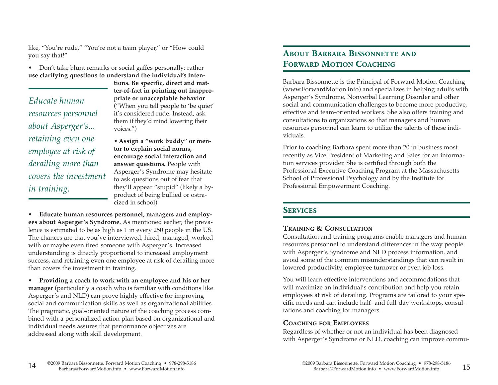like, "You're rude," "You're not a team player," or "How could you say that!"

• Don't take blunt remarks or social gaffes personally; rather **use clarifying questions to understand the individual's inten-**

*Educate human resources personnel about Asperger's... retaining even one employee at risk of derailing more than covers the investment in training.*

**tions. Be specific, direct and matter-of-fact in pointing out inappropriate or unacceptable behavior** ("When you tell people to 'be quiet' it's considered rude. Instead, ask them if they'd mind lowering their voices.")

• **Assign a "work buddy" or mentor to explain social norms, encourage social interaction and answer questions.** People with Asperger's Syndrome may hesitate to ask questions out of fear that they'll appear "stupid" (likely a byproduct of being bullied or ostracized in school).

• **Educate human resources personnel, managers and employees about Asperger's Syndrome.** As mentioned earlier, the prevalence is estimated to be as high as 1 in every 250 people in the US. The chances are that you've interviewed, hired, managed, worked with or maybe even fired someone with Asperger's. Increased understanding is directly proportional to increased employment success, and retaining even one employee at risk of derailing more than covers the investment in training.

• **Providing a coach to work with an employee and his or her manager** (particularly a coach who is familiar with conditions like Asperger's and NLD) can prove highly effective for improving social and communication skills as well as organizational abilities. The pragmatic, goal-oriented nature of the coaching process combined with a personalized action plan based on organizational and individual needs assures that performance objectives are addressed along with skill development.

## **ABOUT BARBARA BISSONNETTE AND FORWARD MOTION COACHING**

Barbara Bissonnette is the Principal of Forward Motion Coaching (www.ForwardMotion.info) and specializes in helping adults with Asperger's Syndrome, Nonverbal Learning Disorder and other social and communication challenges to become more productive, effective and team-oriented workers. She also offers training and consultations to organizations so that managers and human resources personnel can learn to utilize the talents of these individuals.

Prior to coaching Barbara spent more than 20 in business most recently as Vice President of Marketing and Sales for an information services provider. She is certified through both the Professional Executive Coaching Program at the Massachusetts School of Professional Psychology and by the Institute for Professional Empowerment Coaching.

## **SERVICES**

## **TRAINING & CONSULTATION**

Consultation and training programs enable managers and human resources personnel to understand differences in the way people with Asperger's Syndrome and NLD process information, and avoid some of the common misunderstandings that can result in lowered productivity, employee turnover or even job loss.

You will learn effective interventions and accommodations that will maximize an individual's contribution and help you retain employees at risk of derailing. Programs are tailored to your specific needs and can include half- and full-day workshops, consultations and coaching for managers.

## **COACHING FOR EMPLOYEES**

Regardless of whether or not an individual has been diagnosed with Asperger's Syndrome or NLD, coaching can improve commu